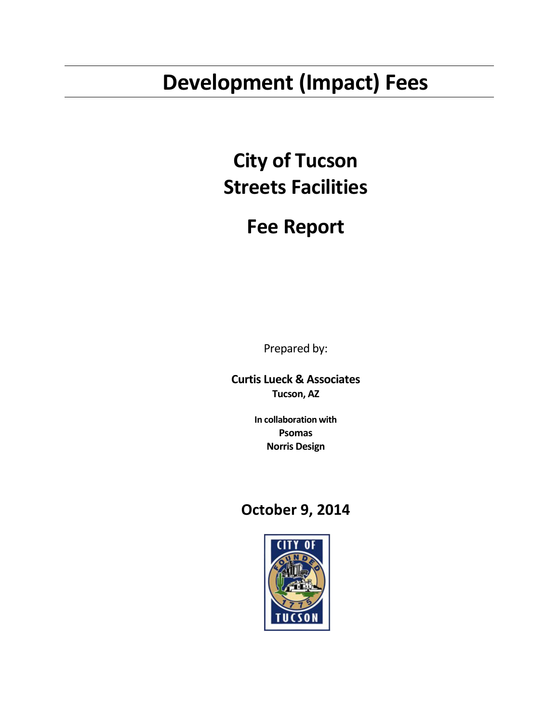# **Development (Impact) Fees**

# **City of Tucson Streets Facilities**

# **Fee Report**

Prepared by:

**Curtis Lueck & Associates Tucson, AZ**

> **In collaboration with Psomas Norris Design**

# **October 9, 2014**

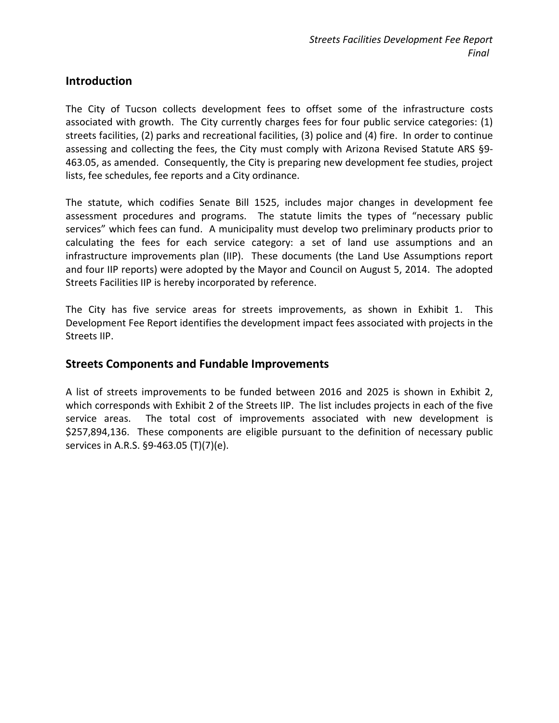#### **Introduction**

The City of Tucson collects development fees to offset some of the infrastructure costs associated with growth. The City currently charges fees for four public service categories: (1) streets facilities, (2) parks and recreational facilities, (3) police and (4) fire. In order to continue assessing and collecting the fees, the City must comply with Arizona Revised Statute ARS §9- 463.05, as amended. Consequently, the City is preparing new development fee studies, project lists, fee schedules, fee reports and a City ordinance.

The statute, which codifies Senate Bill 1525, includes major changes in development fee assessment procedures and programs. The statute limits the types of "necessary public services" which fees can fund. A municipality must develop two preliminary products prior to calculating the fees for each service category: a set of land use assumptions and an infrastructure improvements plan (IIP). These documents (the Land Use Assumptions report and four IIP reports) were adopted by the Mayor and Council on August 5, 2014. The adopted Streets Facilities IIP is hereby incorporated by reference.

The City has five service areas for streets improvements, as shown in Exhibit 1. This Development Fee Report identifies the development impact fees associated with projects in the Streets IIP.

#### **Streets Components and Fundable Improvements**

A list of streets improvements to be funded between 2016 and 2025 is shown in Exhibit 2, which corresponds with Exhibit 2 of the Streets IIP. The list includes projects in each of the five service areas. The total cost of improvements associated with new development is \$257,894,136. These components are eligible pursuant to the definition of necessary public services in A.R.S. §9-463.05 (T)(7)(e).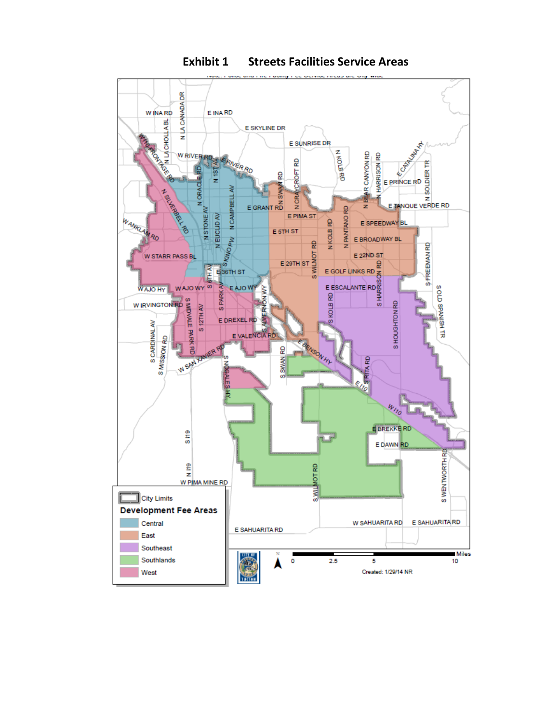

**Exhibit 1 Streets Facilities Service Areas**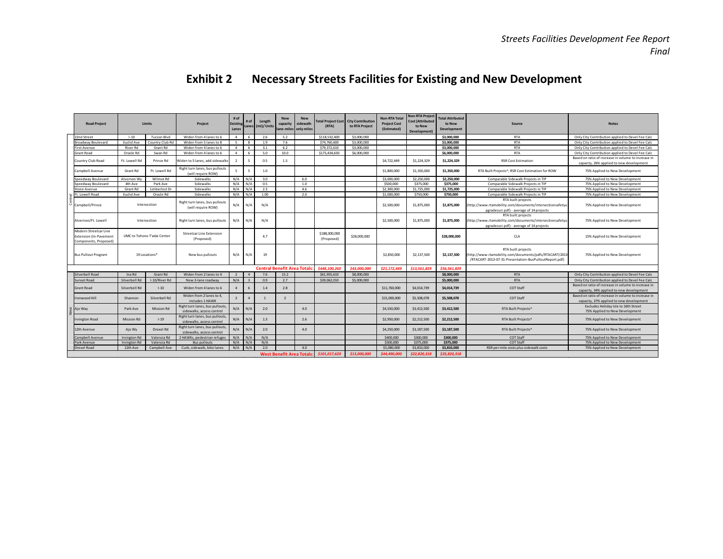|                                                                                 |                     |                             |                                                              |                           |                        |                                    |                                 |                                                 |                             |                                            | <b>Non-RTA Total</b>               | <b>Non-RTA Project</b>                            | <b>Total Attributed</b> |                                                                                                                                         |                                                                                                 |
|---------------------------------------------------------------------------------|---------------------|-----------------------------|--------------------------------------------------------------|---------------------------|------------------------|------------------------------------|---------------------------------|-------------------------------------------------|-----------------------------|--------------------------------------------|------------------------------------|---------------------------------------------------|-------------------------|-----------------------------------------------------------------------------------------------------------------------------------------|-------------------------------------------------------------------------------------------------|
| <b>Road Project</b>                                                             |                     | Limits                      | Project                                                      | # of<br>Existing<br>Lanes |                        | Length<br>Lanes (mi)/Units         | <b>New</b><br>capacity          | <b>New</b><br>sidewalk<br>lane-miles only miles | otal Project Cost<br>(RTA)  | <b>City Contribution</b><br>to RTA Project | <b>Project Cost</b><br>(Estimated) | <b>Cost (Attributed</b><br>to New<br>Development) | to New<br>Development   | Source                                                                                                                                  | <b>Notes</b>                                                                                    |
| 22nd Street                                                                     | $1 - 10$            | <b>Tucson Blvd</b>          | Widen from 4 lanes to 6                                      | 4                         | -6                     | 2.6                                | 5.2                             |                                                 | \$118,532,400               | \$3,000,000                                |                                    |                                                   | \$3,000,000             | <b>RTA</b>                                                                                                                              | Only City Contribution applied to Devel Fee Calc                                                |
| Broadway Boulevard                                                              | <b>Euclid Ave</b>   | Country Club Ro             | Widen from 5 lanes to 8                                      | $\mathbb{Z}$              |                        | 1.9                                | 7.6                             |                                                 | \$74,760,600                | \$3,000,000                                |                                    |                                                   | \$3,000,000             | <b>RTA</b>                                                                                                                              | Only City Contribution applied to Devel Fee Calc                                                |
| <b>First Avenue</b>                                                             | <b>River Rd</b>     | Grant Rd                    | Widen from 4 lanes to 6                                      | $\overline{4}$            | 6                      | 3.1                                | 6.2                             |                                                 | \$79,372,610                | \$3,000,000                                |                                    |                                                   | \$3,000,000             | <b>RTA</b>                                                                                                                              | Only City Contribution applied to Devel Fee Calc                                                |
| Grant Road                                                                      | Oracle Rd           | Swan Rd                     | Widen from 4 lanes to 6                                      | $\overline{4}$            | -6                     | 5.0                                | 10.0                            |                                                 | \$175,434,650               | \$6,000,000                                |                                    |                                                   | \$6,000,000             | <b>RTA</b>                                                                                                                              | Only City Contribution applied to Devel Fee Calc                                                |
| Country Club Road                                                               | Ft. Lowell Rd       | Prince Rd                   | Widen to 5 lanes, add sidewalks                              | $\overline{2}$            | 5                      | 0.5                                | 1.5                             |                                                 |                             |                                            | \$4,722,449                        | \$1,224,329                                       | \$1,224,329             | <b>RSR Cost Estimation</b>                                                                                                              | Based on ratio of increase in volume to increase in<br>capacity, 26% applied to new development |
| Campbell Avenue                                                                 | Grant Rd            | Ft. Lowell Rd               | Right turn lanes, bus pullouts<br>(will require ROW)         | 5                         | 5                      | 1.0                                |                                 |                                                 |                             |                                            | \$1,800,000                        | \$1,350,000                                       | \$1,350,000             | RTA Built Projects^, RSR Cost Estimation for ROW                                                                                        | 75% Applied to New Development                                                                  |
| Speedway Boulevard                                                              | Alvernon Wy         | Wilmot Rd                   | Sidewalks                                                    | $N/A$ $N/A$               |                        | 3.0                                |                                 | 6.0                                             |                             |                                            | \$3,000,000                        | \$2,250,000                                       | \$2,250,000             | Comparable Sidewalk Projects in TIP                                                                                                     | 75% Applied to New Development                                                                  |
| Speedway Boulevard                                                              | 4th Ave             | Park Ave                    | Sidewalks                                                    | N/A                       | N/A                    | 0.5                                |                                 | 1.0                                             |                             |                                            | \$500,000                          | \$375,000                                         | \$375,000               | Comparable Sidewalk Projects in TIP                                                                                                     | 75% Applied to New Development                                                                  |
| Stone Avenue                                                                    | Grant Rd            | Limberlost Dr               | Sidewalks                                                    | N/A                       | N/A                    | 2.3                                |                                 | 4.6                                             |                             |                                            | \$2,300,000                        | \$1,725,000                                       | \$1,725,000             | Comparable Sidewalk Projects in TIP                                                                                                     | 75% Applied to New Development                                                                  |
| t. Lowell Road                                                                  | <b>Euclid Ave</b>   | Oracle Rd                   | Sidewalks                                                    | N/A                       | N/A                    | 1.00                               |                                 | 2.0                                             |                             |                                            | \$1,000,000                        | \$750,000                                         | \$750,000               | Comparable Sidewalk Projects in TIP                                                                                                     | 75% Applied to New Development                                                                  |
| Campbell/Prince                                                                 |                     | Intersection                | Right turn lanes, bus pullouts<br>(will require ROW)         | N/A                       | N/A                    | N/A                                |                                 |                                                 |                             |                                            | \$2,500,000                        | \$1,875,000                                       | \$1,875,000             | RTA built projects<br>http://www.rtamobility.com/documents/intersectionsafetyu<br>pgradesscr.pdf) - average of 14 projects              | 75% Applied to New Development                                                                  |
| Alvernon/Ft. Lowell                                                             |                     | Intersection                | Right turn lanes, bus pullouts                               | N/A                       | N/A                    | N/A                                |                                 |                                                 |                             |                                            | \$2,500,000                        | \$1,875,000                                       | \$1,875,000             | RTA built projects<br>http://www.rtamobility.com/documents/intersectionsafetyu<br>pgradesscr.pdf) - average of 14 projects              | 75% Applied to New Development                                                                  |
| Modern Streetcar Line<br><b>Extension (In-Pavement</b><br>Components, Proposed) |                     | UMC to Tohono T'adai Center | <b>Streetcar Line Extension</b><br>(Proposed)                |                           |                        | 4.7                                |                                 |                                                 | \$188,000,000<br>(Proposed) | \$28,000,000                               |                                    |                                                   | \$28,000,000            | <b>CLA</b>                                                                                                                              | 15% Applied to New Development                                                                  |
| <b>Bus Pullout Program</b>                                                      |                     | 19 Locations*               | New bus pullouts                                             | N/A                       | N/A                    | 19                                 |                                 |                                                 |                             |                                            | \$2,850,000                        | \$2,137,500                                       | \$2,137,500             | RTA built projects<br>(http://www.rtamobility.com/documents/pdfs/RTACART/2013<br>/RTACART-2013-07-31-Presentation-BusPulloutReport.pdf) | 75% Applied to New Development                                                                  |
|                                                                                 |                     |                             |                                                              |                           |                        | <b>Central Benefit Area Totals</b> |                                 |                                                 | \$448,100,260               | \$43,000,000                               | \$21.172.449                       | \$13,561,829                                      | \$56,561,829            |                                                                                                                                         |                                                                                                 |
| Silverbell Road                                                                 | Ina Rd              | Grant Rd                    | Widen from 2 lanes to 4                                      | $\overline{2}$            | $\boldsymbol{\Lambda}$ | 7.6                                | 15.2                            |                                                 | \$61,955,610                | \$8,000,000                                |                                    |                                                   | \$8,000,000             | <b>RTA</b>                                                                                                                              | Only City Contribution applied to Devel Fee Calc                                                |
| <b>Sunset Road</b>                                                              | Silverbell Rd       | I-10/River Rd               | New 3-lane roadway                                           | N/A                       |                        | 0.9                                | 2.7                             |                                                 | \$39,062,010                | \$5,000,000                                |                                    |                                                   | \$5,000,000             | <b>RTA</b>                                                                                                                              | Only City Contribution applied to Devel Fee Calc                                                |
| <b>Grant Road</b>                                                               | Silverbell Rd       | $1-10$                      | Widen from 4 lanes to 6                                      | $\overline{4}$            | 6                      | 1.4                                | 2.8                             |                                                 |                             |                                            | \$11,760,000                       | \$4,014,739                                       | \$4,014,739             | <b>COT Staff</b>                                                                                                                        | Based on ratio of increase in volume to increase in<br>capacity, 34% applied to new development |
| Ironwood Hill                                                                   | Shannon             | Silverbell Rd               | Widen from 2 lanes to 4,<br>includes 1 HAWK                  | $\overline{2}$            |                        |                                    | $\overline{\phantom{a}}$        |                                                 |                             |                                            | \$15,000,000                       | \$5,508,078                                       | \$5,508,078             | <b>COT Staff</b>                                                                                                                        | Based on ratio of increase in volume to increase in<br>capacity, 37% applied to new development |
| Ajo Way                                                                         | Park Ave            | <b>Mission Rd</b>           | Right turn lanes, bus pullouts,<br>sidewalks, access control | N/A                       | N/A                    | 2.0                                |                                 | 4.0                                             |                             |                                            | \$4,550,000                        | \$3,412,500                                       | \$3,412,500             | RTA Built Projects^                                                                                                                     | Excludes Holiday Isle to 16th Street<br>75% Applied to New Development                          |
| <b>Irvington Road</b>                                                           | <b>Mission Rd</b>   | $I - 19$                    | Right turn lanes, bus pullouts,<br>sidewalks, access control | N/A                       | N/A                    | 1.3                                |                                 | 2.6                                             |                             |                                            | \$2,950,000                        | \$2,212,500                                       | \$2,212,500             | RTA Built Projects^                                                                                                                     | 75% Applied to New Development                                                                  |
| 12th Avenue                                                                     | Ajo Wy              | Drexel Rd                   | Right turn lanes, bus pullouts,<br>sidewalks, access control | N/A                       | N/A                    | 2.0                                |                                 | 4.0                                             |                             |                                            | \$4,250,000                        | \$3,187,500                                       | \$3,187,500             | RTA Built Projects^                                                                                                                     | 75% Applied to New Development                                                                  |
| Campbell Avenue                                                                 | <b>Irvington Rd</b> | Valencia Rd                 | 2 HAWKs, pedestrian refuges                                  | N/A                       | N/A                    | N/A                                |                                 |                                                 |                             |                                            | \$400,000                          | \$300,000                                         | \$300,000               | <b>COT Staff</b>                                                                                                                        | 75% Applied to New Development                                                                  |
| Park Avenue                                                                     | <b>Irvington Rd</b> | Valencia Rd                 | <b>Bus pullouts</b>                                          | $N/A$ $N/A$               |                        | N/A                                |                                 |                                                 |                             |                                            | \$500,000                          | \$375,000                                         | \$375,000               | <b>COT Staff</b>                                                                                                                        | 75% Applied to New Development                                                                  |
| <b>Drexel Road</b>                                                              | 12th Ave            | Campbell Ave                | Curb, sidewalk, bike lanes                                   | N/A                       | N/A                    | 2.0                                |                                 | 4.0                                             |                             |                                            | \$5,080,000                        | \$3,810,000                                       | \$3,810,000             | RSR per mile costs plus sidewalk costs                                                                                                  | 75% Applied to New Development                                                                  |
|                                                                                 |                     |                             |                                                              |                           |                        |                                    | <b>West Benefit Area Totals</b> |                                                 | \$101.017.620               | \$13,000,000                               | \$44,490,000                       | \$22,820,318                                      | \$35,820,318            |                                                                                                                                         |                                                                                                 |

# **Exhibit 2 Necessary Streets Facilities for Existing and New Development**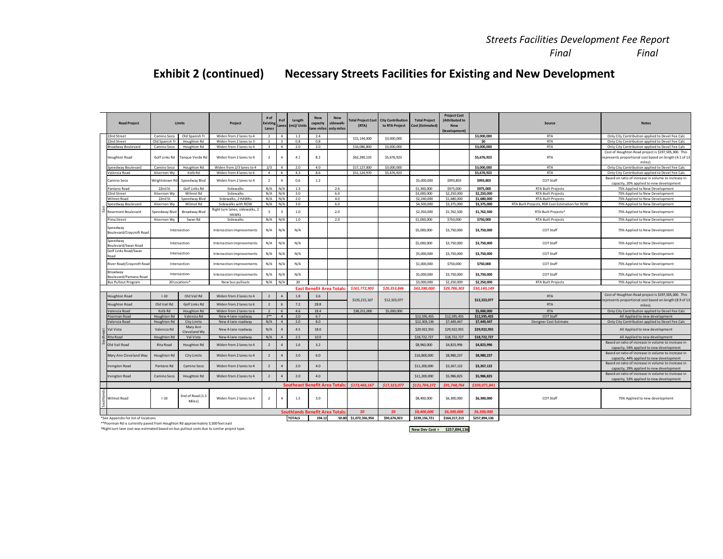## **Exhibit 2 (continued) Necessary Streets Facilities for Existing and New Development**

| <b>Road Project</b>                  |                    | Limits                     | Project                                        | # of<br>Existing<br>Lanes | # of<br>Lanes  | Length<br>(mi)/ Units                 | <b>New</b><br>capacity<br>lane-miles only miles | <b>New</b><br>sidewalk | <b>Total Project Cost</b><br>(RTA) | <b>City Contribution</b><br>to RTA Project | <b>Total Project</b><br><b>Cost (Estimated)</b> | <b>Project Cost</b><br>(Attributed to<br><b>New</b><br>Development) |               | Source                                          | <b>Notes</b>                                                                                                              |
|--------------------------------------|--------------------|----------------------------|------------------------------------------------|---------------------------|----------------|---------------------------------------|-------------------------------------------------|------------------------|------------------------------------|--------------------------------------------|-------------------------------------------------|---------------------------------------------------------------------|---------------|-------------------------------------------------|---------------------------------------------------------------------------------------------------------------------------|
| 2nd Street                           | Camino Seco        | Old Spanish Tr             | Widen from 2 lanes to 4                        | $\overline{2}$            | $\overline{a}$ | 1.2                                   | 2.4                                             |                        |                                    |                                            |                                                 |                                                                     | \$3,000,000   | <b>RTA</b>                                      | Only City Contribution applied to Devel Fee Calc                                                                          |
| 22nd Street                          | Old Spanish Tr     | Houghton Rd                | Widen from 2 lanes to 3                        | $\overline{2}$            | $\overline{3}$ | 0.8                                   | 0.8                                             |                        | \$15,144,000                       | \$3,000,000                                |                                                 |                                                                     | \$0           | <b>RTA</b>                                      | Only City Contribution applied to Devel Fee Calc                                                                          |
| roadway Boulevard                    | Camino Seco        | Houghton Rd                | Widen from 3 lanes to 4                        | $\overline{\mathbf{3}}$   | $\overline{4}$ | 2.0                                   | 2.0                                             |                        | \$16,086,800                       | \$3,000,000                                |                                                 |                                                                     | \$3,000,000   | <b>RTA</b>                                      | Only City Contribution applied to Devel Fee Calc                                                                          |
| Houghton Road                        | Golf Links Rd      | Tanque Verde Rd            | Widen from 2 lanes to 4                        | $\overline{2}$            | 4              | 4.1                                   | 8.2                                             |                        | \$62,290,133                       | \$5,676,923                                |                                                 |                                                                     | \$5,676,923   | <b>RTA</b>                                      | Cost of Houghton Road project is \$197,505,300. This<br>represents proportional cost based on length (4.1 of 13<br>miles) |
| peedway Boulevard                    | Camino Seco        | Houghton Rd                | Widen from 2/3 lanes to 4                      | 2/3                       | 4              | 2.0                                   | 4.0                                             |                        | \$17,127,000                       | \$3,000,000                                |                                                 |                                                                     | \$3,000,000   | <b>RTA</b>                                      | Only City Contribution applied to Devel Fee Calc                                                                          |
| alencia Road                         | Alvernon Wy        | Kolb Rd                    | Widen from 4 lanes to 6                        | $\sim$                    | 6              | 4.3                                   | 8.6                                             |                        | \$51,124,970                       | \$5,676,923                                |                                                 |                                                                     | \$5,676,923   | <b>RTA</b>                                      | Only City Contribution applied to Devel Fee Calc                                                                          |
| Camino Seco                          | Wrightstown Rd     | Speedway Blvd              | Widen from 2 lanes to 4                        | $\overline{2}$            | 4              | 0.6                                   | 1.2                                             |                        |                                    |                                            | \$5,000,000                                     | \$993,803                                                           | \$993,803     | COT Staff                                       | Based on ratio of increase in volume to increase in<br>capacity, 20% applied to new development                           |
| Pantano Road                         | 22nd St            | Golf Links Rd              | Sidewalks                                      | N/A                       | N/A            | 1.3                                   |                                                 | 2.6                    |                                    |                                            | \$1,300,000                                     | \$975,000                                                           | \$975,000     | <b>RTA Built Projects</b>                       | 75% Applied to New Development                                                                                            |
| 2nd Street                           | Alvernon Wy        | Wilmot Rd                  | Sidewalks                                      | N/A                       | N/A            | 3.0                                   |                                                 | 6.0                    |                                    |                                            | \$3,000,000                                     | \$2,250,000                                                         | \$2,250,000   | <b>RTA Built Projects</b>                       | 75% Applied to New Development                                                                                            |
| <b>Nilmot Road</b>                   | 22nd St            | Speedway Blvd              | Sidewalks, 2 HAWKs                             | N/A                       | N/A            | 2.0                                   |                                                 | 4.0                    |                                    |                                            | \$2,240,000                                     | \$1,680,000                                                         | \$1,680,000   | <b>RTA Built Projects</b>                       | 75% Applied to New Development                                                                                            |
| peedway Boulevard                    | Alvernon Wy        | Wilmot Rd                  | Sidewalks with ROW                             | N/A                       | N/A            | 3.0                                   |                                                 | 6.0                    |                                    |                                            | \$4,500,000                                     | \$3,375,000                                                         | \$3,375,000   | RTA Built Projects, RSR Cost Estimation for ROW | 75% Applied to New Development                                                                                            |
| tosemont Boulevard                   | Speedway Blvd      | Broadway Blvd              | Right turn lanes, sidewalks, 2<br><b>HAWKs</b> | $\overline{3}$            | ٩              | 1.0                                   |                                                 | 2.0                    |                                    |                                            | \$2,350,000                                     | \$1,762,500                                                         | \$1,762,500   | RTA Built Projects <sup>*</sup>                 | 75% Applied to New Development                                                                                            |
| ima Street                           | Alvernon Wy        | Swan Rd                    | Sidewalks                                      | N/A                       | N/A            | 1.0                                   |                                                 | 2.0                    |                                    |                                            | \$1,000,000                                     | \$750,000                                                           | \$750,000     | <b>RTA Built Projects</b>                       | 75% Applied to New Development                                                                                            |
| Speedway<br>Boulevard/Craycroft Road |                    | Intersection               | Intersection Improvements                      | N/A                       | N/A            | N/A                                   |                                                 |                        |                                    |                                            | \$5,000,000                                     | \$3,750,000                                                         | \$3,750,000   | COT Staff                                       | 75% Applied to New Development                                                                                            |
| Speedway<br>Boulevard/Swan Road      |                    | Intersection               | Intersection Improvements                      | N/A                       | N/A            | N/A                                   |                                                 |                        |                                    |                                            | \$5,000,000                                     | \$3,750,000                                                         | \$3,750,000   | COT Staff                                       | 75% Applied to New Development                                                                                            |
| Golf Links Road/Swan<br>beot         |                    | Intersection               | Intersection Improvements                      | N/A                       | N/A            | N/A                                   |                                                 |                        |                                    |                                            | \$5,000,000                                     | \$3,750,000                                                         | \$3,750,000   | COT Staff                                       | 75% Applied to New Development                                                                                            |
| River Road/Craycroft Road            |                    | Intersection               | Intersection Improvements                      | N/A                       | N/A            | N/A                                   |                                                 |                        |                                    |                                            | \$1,000,000                                     | \$750,000                                                           | \$750,000     | COT Staff                                       | 75% Applied to New Development                                                                                            |
| troadway<br>oulevard/Pantano Road    |                    | Intersection               | Intersection Improvements                      | N/A                       | N/A            | N/A                                   |                                                 |                        |                                    |                                            | \$5,000,000                                     | \$3,750,000                                                         | \$3,750,000   | COT Staff                                       | 75% Applied to New Development                                                                                            |
| sus Pullout Program                  |                    | 20 Locations*              | New bus pullouts                               | N/A                       | N/A            | 20                                    |                                                 |                        |                                    |                                            | \$3,000,000                                     | \$2,250,000                                                         | \$2,250,000   | <b>RTA Built Projects</b>                       | 75% Applied to New Development                                                                                            |
|                                      |                    |                            |                                                |                           |                |                                       | <b>East Benefit Area Totals</b>                 |                        | \$161,772.903                      | \$20,353,846                               | \$43,390,000                                    | \$29,786,303                                                        | \$50,140,149  |                                                 |                                                                                                                           |
| loughton Road                        | $1-10$             | Old Vail Rd                | Widen from 2 lanes to 4                        | $\overline{2}$            | $\overline{a}$ | 1.8                                   | 3.6                                             |                        | \$135,215,167                      | \$12,323,077                               |                                                 |                                                                     | \$12,323,077  | <b>RTA</b>                                      | Cost of Houghton Road project is \$197,505,300. This<br>epresents proportional cost based on length (8.9 of 13            |
| oughton Road                         | Old Vail Rd        | Golf Links Rd              | Widen from 2 lanes to 6                        | $\overline{2}$            | 6              | $7.2$                                 | 28.8                                            |                        |                                    |                                            |                                                 |                                                                     |               | <b>RTA</b>                                      | miles).                                                                                                                   |
| alencia Road                         | Kolb <sub>Rd</sub> | Houghton Rd                | Widen from 2 lanes to 6                        | $\overline{2}$            | 6              | 4.6                                   | 18.4                                            |                        | \$38,251,000                       | \$5,000,000                                |                                                 |                                                                     | \$5,000,000   | <b>RTA</b>                                      | Only City Contribution applied to Devel Fee Calc                                                                          |
| oorman Road                          | <b>Houghton Rd</b> | Valencia Rd                | New 4-lane roadway                             | $7***$                    | $\Lambda$      | 2.0                                   | 6.7                                             |                        |                                    |                                            | \$12,595,455                                    | \$12,595,455                                                        | \$12,595,455  | COT Staff                                       | All Applied to new development                                                                                            |
| alencia Road                         | Houghton Rd        | City Limits                | New 4-lane roadway                             | N/A                       | 4              | 2.0                                   | 8.0                                             |                        |                                    |                                            | \$12,303,136                                    | \$7,449,447                                                         | \$7,449,447   | <b>Designer Cost Estimate</b>                   | Only City Contribution applied to Devel Fee Calc                                                                          |
| Val Vista                            | Valencia Rd        | Mary Ann<br>Cleveland Wy   | New 4-lane roadway                             | N/A                       | $\mathfrak{a}$ | 4.5                                   | 18.0                                            |                        |                                    |                                            | \$29,922,955                                    | \$29,922,955                                                        | \$29,922,955  |                                                 | All Applied to new development                                                                                            |
| ita Road                             | Houghton Rd        | Val Vista                  | New 4-lane roadway                             | N/A                       | $\overline{a}$ | 2.5                                   | 10.0                                            |                        |                                    |                                            | \$18,722,727                                    | \$18,722,727                                                        | \$18,722,727  |                                                 | All Applied to new development                                                                                            |
| Old Vail Road                        | Rita Road          | <b>Houghton Rd</b>         | Widen from 2 lanes to 4                        | $\overline{2}$            | $\overline{a}$ | 1.6                                   | 3.2                                             |                        |                                    |                                            | \$8,960,000                                     | \$4,823,996                                                         | \$4,823,996   |                                                 | Based on ratio of increase in volume to increase in<br>capacity, 54% applied to new development                           |
| Mary Ann Cleveland Way               | Houghton Rd        | City Limits                | Widen from 2 lanes to 4                        | $\overline{2}$            | $\mathfrak{a}$ | 3.0                                   | 6.0                                             |                        |                                    |                                            | \$16,800,000                                    | \$8,980,237                                                         | \$8,980,237   |                                                 | Based on ratio of increase in volume to increase in<br>capacity, 44% applied to new development                           |
| rvington Road                        | Pantano Rd         | Camino Seco                | Widen from 2 lanes to 4                        | $\overline{2}$            | $\mathfrak{a}$ | 2.0                                   | 4.0                                             |                        |                                    |                                            | \$11,200,000                                    | \$3,267,122                                                         | \$3,267,122   |                                                 | Based on ratio of increase in volume to increase in<br>capacity, 29% applied to new development                           |
| Irvington Road                       | Camino Seco        | Houghton Rd                | Widen from 2 lanes to 4                        | $\overline{2}$            | $\overline{a}$ | 2.0                                   | 4.0                                             |                        |                                    |                                            | \$11,200,000                                    | \$5,986,825                                                         | \$5,986,825   |                                                 | Based on ratio of increase in volume to increase in<br>capacity, 53% applied to new development                           |
|                                      |                    |                            |                                                |                           |                | <b>Southeast Benefit Area Totals</b>  |                                                 |                        | \$173,466,167                      | \$17.323.077                               | \$121.704.272                                   | \$91,748,764                                                        | \$109.071.841 |                                                 |                                                                                                                           |
| Wilmot Road                          | $1 - 10$           | End of Road (1.5<br>Miles) | Widen from 2 lanes to 4                        | $\overline{2}$            | 4              | 1.5                                   | 3.0                                             |                        |                                    |                                            | \$8,400,000                                     | \$6,300,000                                                         | \$6,300,000   | COT Staff                                       | 75% Applied to new development                                                                                            |
|                                      |                    |                            |                                                |                           |                | <b>Southlands Benefit Area Totals</b> |                                                 |                        | SO <sub>2</sub>                    | SO                                         | \$8,400,000                                     | \$6.300.000                                                         | \$6,300,000   |                                                 |                                                                                                                           |
| *See Appendix for list of locations  |                    |                            |                                                |                           |                | <b>TOTALS</b>                         | 194.12                                          | 50.80                  | \$1,072,356,950                    | \$93.676.923                               | \$239,156,721                                   | \$164,217,213                                                       | \$257,894,136 |                                                 |                                                                                                                           |

\*\*Poorman Rd is currently paved from Houghton Rd approximately 3,500 feet east ^Right turn lane cost was estimated based on bus pullout costs due to similar project type.

**New Dev Cost = \$257,894,136**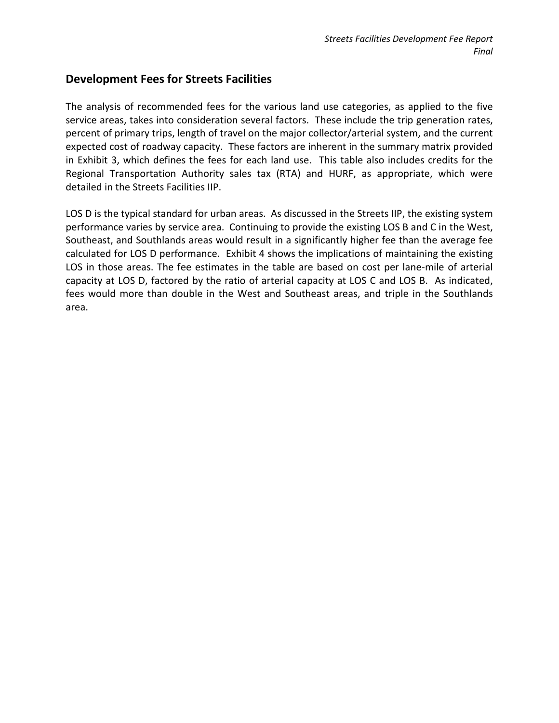#### **Development Fees for Streets Facilities**

The analysis of recommended fees for the various land use categories, as applied to the five service areas, takes into consideration several factors. These include the trip generation rates, percent of primary trips, length of travel on the major collector/arterial system, and the current expected cost of roadway capacity. These factors are inherent in the summary matrix provided in Exhibit 3, which defines the fees for each land use. This table also includes credits for the Regional Transportation Authority sales tax (RTA) and HURF, as appropriate, which were detailed in the Streets Facilities IIP.

LOS D is the typical standard for urban areas. As discussed in the Streets IIP, the existing system performance varies by service area. Continuing to provide the existing LOS B and C in the West, Southeast, and Southlands areas would result in a significantly higher fee than the average fee calculated for LOS D performance. Exhibit 4 shows the implications of maintaining the existing LOS in those areas. The fee estimates in the table are based on cost per lane-mile of arterial capacity at LOS D, factored by the ratio of arterial capacity at LOS C and LOS B. As indicated, fees would more than double in the West and Southeast areas, and triple in the Southlands area.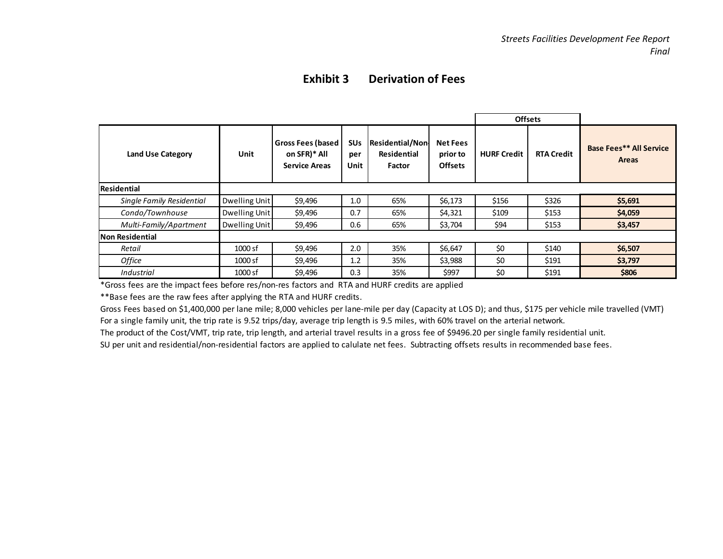### **Exhibit 3 Derivation of Fees**

|                           |               |                                                             |                                      |                                                 |                                               | <b>Offsets</b>     |                   |                                                |
|---------------------------|---------------|-------------------------------------------------------------|--------------------------------------|-------------------------------------------------|-----------------------------------------------|--------------------|-------------------|------------------------------------------------|
| <b>Land Use Category</b>  | Unit          | Gross Fees (based  <br>on SFR)* All<br><b>Service Areas</b> | <b>SU<sub>s</sub></b><br>per<br>Unit | Residential/Non<br><b>Residential</b><br>Factor | <b>Net Fees</b><br>prior to<br><b>Offsets</b> | <b>HURF Credit</b> | <b>RTA Credit</b> | <b>Base Fees** All Service</b><br><b>Areas</b> |
| Residential               |               |                                                             |                                      |                                                 |                                               |                    |                   |                                                |
| Single Family Residential | Dwelling Unit | \$9,496                                                     | 1.0                                  | 65%                                             | \$6,173                                       | \$156              | \$326             | \$5,691                                        |
| Condo/Townhouse           | Dwelling Unit | \$9,496                                                     | 0.7                                  | 65%                                             | \$4,321                                       | \$109              | \$153             | \$4,059                                        |
| Multi-Family/Apartment    | Dwelling Unit | \$9,496                                                     | 0.6                                  | 65%                                             | \$3,704                                       | \$94               | \$153             | \$3,457                                        |
| Non Residential           |               |                                                             |                                      |                                                 |                                               |                    |                   |                                                |
| Retail                    | 1000 sf       | \$9,496                                                     | 2.0                                  | 35%                                             | \$6,647                                       | \$0                | \$140             | \$6,507                                        |
| Office                    | $1000$ sf     | \$9,496                                                     | 1.2                                  | 35%                                             | \$3,988                                       | \$0                | \$191             | \$3,797                                        |
| Industrial                | $1000$ sf     | \$9,496                                                     | 0.3                                  | 35%                                             | \$997                                         | \$0                | \$191             | \$806                                          |

\*Gross fees are the impact fees before res/non-res factors and RTA and HURF credits are applied

\*\*Base fees are the raw fees after applying the RTA and HURF credits.

Gross Fees based on \$1,400,000 per lane mile; 8,000 vehicles per lane-mile per day (Capacity at LOS D); and thus, \$175 per vehicle mile travelled (VMT) For a single family unit, the trip rate is 9.52 trips/day, average trip length is 9.5 miles, with 60% travel on the arterial network.

The product of the Cost/VMT, trip rate, trip length, and arterial travel results in a gross fee of \$9496.20 per single family residential unit.

SU per unit and residential/non-residential factors are applied to calulate net fees. Subtracting offsets results in recommended base fees.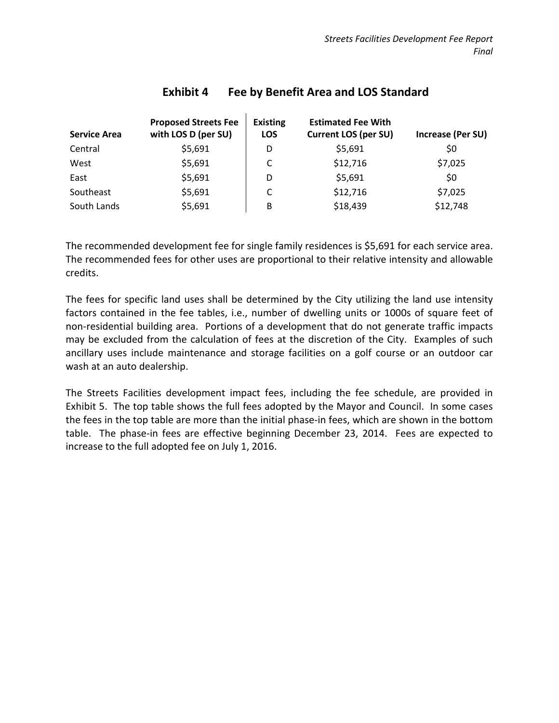| <b>Service Area</b> | <b>Proposed Streets Fee</b><br>with LOS D (per SU) | <b>Existing</b><br><b>LOS</b> | <b>Estimated Fee With</b><br><b>Current LOS (per SU)</b> | Increase (Per SU) |
|---------------------|----------------------------------------------------|-------------------------------|----------------------------------------------------------|-------------------|
| Central             | \$5,691                                            | D                             | \$5,691                                                  | \$0               |
| West                | \$5,691                                            | C                             | \$12,716                                                 | \$7,025           |
| East                | \$5,691                                            | D                             | \$5,691                                                  | \$0               |
| Southeast           | \$5,691                                            | C                             | \$12,716                                                 | \$7,025           |
| South Lands         | \$5,691                                            | B                             | \$18,439                                                 | \$12,748          |

### **Exhibit 4 Fee by Benefit Area and LOS Standard**

The recommended development fee for single family residences is \$5,691 for each service area. The recommended fees for other uses are proportional to their relative intensity and allowable credits.

The fees for specific land uses shall be determined by the City utilizing the land use intensity factors contained in the fee tables, i.e., number of dwelling units or 1000s of square feet of non-residential building area. Portions of a development that do not generate traffic impacts may be excluded from the calculation of fees at the discretion of the City. Examples of such ancillary uses include maintenance and storage facilities on a golf course or an outdoor car wash at an auto dealership.

The Streets Facilities development impact fees, including the fee schedule, are provided in Exhibit 5. The top table shows the full fees adopted by the Mayor and Council. In some cases the fees in the top table are more than the initial phase-in fees, which are shown in the bottom table. The phase-in fees are effective beginning December 23, 2014. Fees are expected to increase to the full adopted fee on July 1, 2016.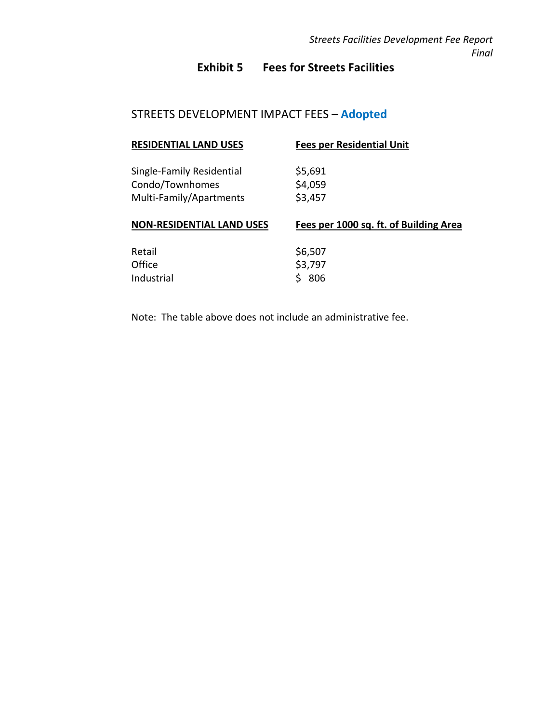## **Exhibit 5 Fees for Streets Facilities**

## STREETS DEVELOPMENT IMPACT FEES **– Adopted**

| <b>RESIDENTIAL LAND USES</b>                                            | <b>Fees per Residential Unit</b>       |
|-------------------------------------------------------------------------|----------------------------------------|
| Single-Family Residential<br>Condo/Townhomes<br>Multi-Family/Apartments | \$5,691<br>\$4,059<br>\$3,457          |
|                                                                         |                                        |
| <b>NON-RESIDENTIAL LAND USES</b>                                        | Fees per 1000 sq. ft. of Building Area |

Note: The table above does not include an administrative fee.